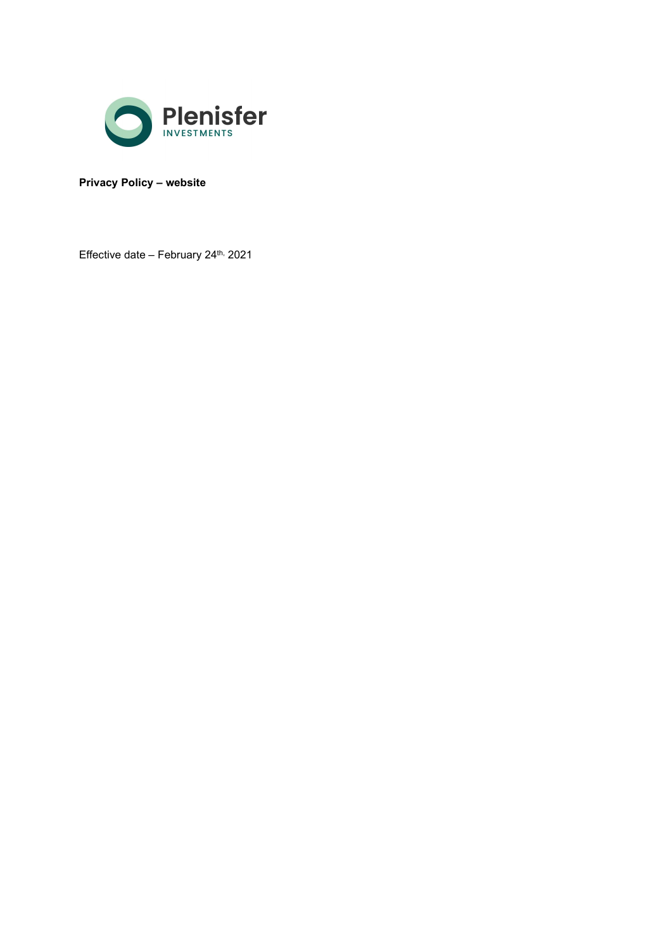

Privacy Policy – website

Effective date - February 24<sup>th,</sup> 2021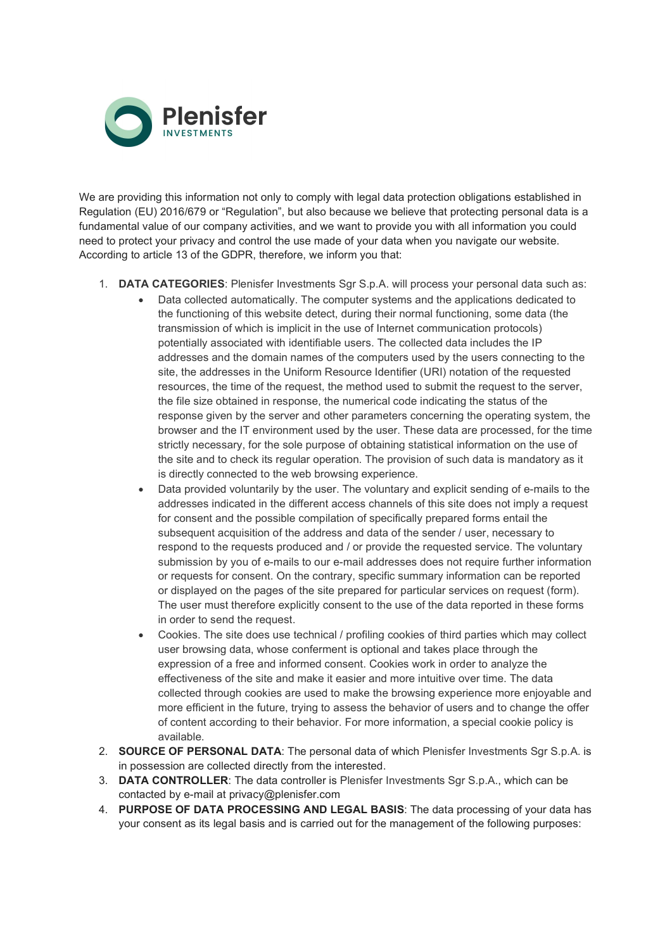

We are providing this information not only to comply with legal data protection obligations established in Regulation (EU) 2016/679 or "Regulation", but also because we believe that protecting personal data is a fundamental value of our company activities, and we want to provide you with all information you could need to protect your privacy and control the use made of your data when you navigate our website. According to article 13 of the GDPR, therefore, we inform you that:

- 1. DATA CATEGORIES: Plenisfer Investments Sgr S.p.A. will process your personal data such as:
	- Data collected automatically. The computer systems and the applications dedicated to the functioning of this website detect, during their normal functioning, some data (the transmission of which is implicit in the use of Internet communication protocols) potentially associated with identifiable users. The collected data includes the IP addresses and the domain names of the computers used by the users connecting to the site, the addresses in the Uniform Resource Identifier (URI) notation of the requested resources, the time of the request, the method used to submit the request to the server, the file size obtained in response, the numerical code indicating the status of the response given by the server and other parameters concerning the operating system, the browser and the IT environment used by the user. These data are processed, for the time strictly necessary, for the sole purpose of obtaining statistical information on the use of the site and to check its regular operation. The provision of such data is mandatory as it is directly connected to the web browsing experience.
	- Data provided voluntarily by the user. The voluntary and explicit sending of e-mails to the addresses indicated in the different access channels of this site does not imply a request for consent and the possible compilation of specifically prepared forms entail the subsequent acquisition of the address and data of the sender / user, necessary to respond to the requests produced and / or provide the requested service. The voluntary submission by you of e-mails to our e-mail addresses does not require further information or requests for consent. On the contrary, specific summary information can be reported or displayed on the pages of the site prepared for particular services on request (form). The user must therefore explicitly consent to the use of the data reported in these forms in order to send the request.
	- Cookies. The site does use technical / profiling cookies of third parties which may collect user browsing data, whose conferment is optional and takes place through the expression of a free and informed consent. Cookies work in order to analyze the effectiveness of the site and make it easier and more intuitive over time. The data collected through cookies are used to make the browsing experience more enjoyable and more efficient in the future, trying to assess the behavior of users and to change the offer of content according to their behavior. For more information, a special cookie policy is available.
- 2. SOURCE OF PERSONAL DATA: The personal data of which Plenisfer Investments Sgr S.p.A. is in possession are collected directly from the interested.
- 3. DATA CONTROLLER: The data controller is Plenisfer Investments Sgr S.p.A., which can be contacted by e-mail at privacy@plenisfer.com
- 4. PURPOSE OF DATA PROCESSING AND LEGAL BASIS: The data processing of your data has your consent as its legal basis and is carried out for the management of the following purposes: